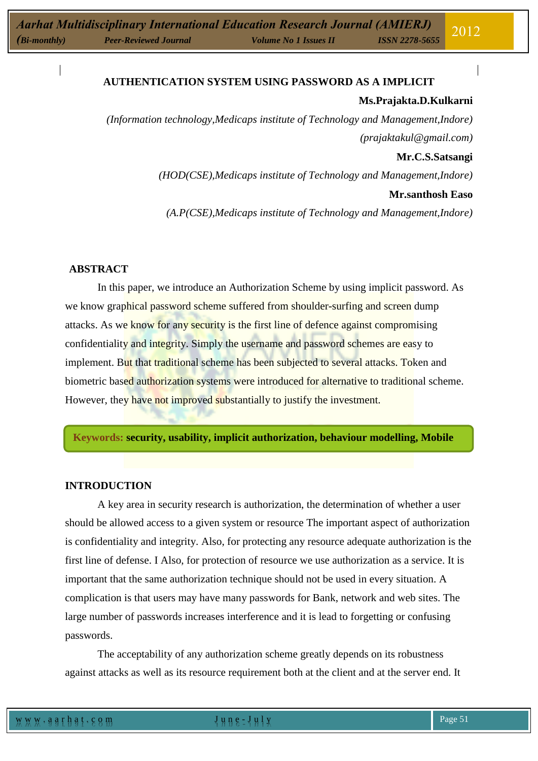## **[AUTHENTICATION](http://www.webopedia.com/TERM/A/authorization.html) SYSTEM USING PASSWORD AS A IMPLICIT**

#### **Ms.Prajakta.D.Kulkarni**

*(Information technology,Medicaps institute of Technology and Management,Indore) (prajaktakul@gmail.com)*

## **Mr.C.S.Satsangi**

*(HOD(CSE),Medicaps institute of Technology and Management,Indore)* **Mr.santhosh Easo**

*(A.P(CSE),Medicaps institute of Technology and Management,Indore)*

## **ABSTRACT**

In this paper, we introduce an Authorization Scheme by using implicit password. As we know graphical password scheme suffered from shoulder-surfing and screen dump attacks. As we know for any security is the first line of defence against compromising confidentiality and integrity. Simply the username and password schemes are easy to implement. But that traditional scheme has been subjected to several attacks. Token and biometric based authorization systems were introduced for alternative to traditional scheme. However, they have not improved substantially to justify the investment.

**Keywords: security, usability, implicit authorization, behaviour modelling, Mobile**

## **INTRODUCTION**

A key area in security research is authorization, the determination of whether a user should be allowed access to a given system or resource The important aspect of authorization is confidentiality and integrity. Also, for protecting any resource adequate authorization is the first line of defense. I Also, for protection of resource we use authorization as a service. It is important that the same authorization technique should not be used in every situation. A complication is that users may have many passwords for Bank, network and web sites. The large number of passwords increases interference and it is lead to forgetting or confusing passwords.

The acceptability of any authorization scheme greatly depends on its robustness against attacks as well as its resource requirement both at the client and at the server end. It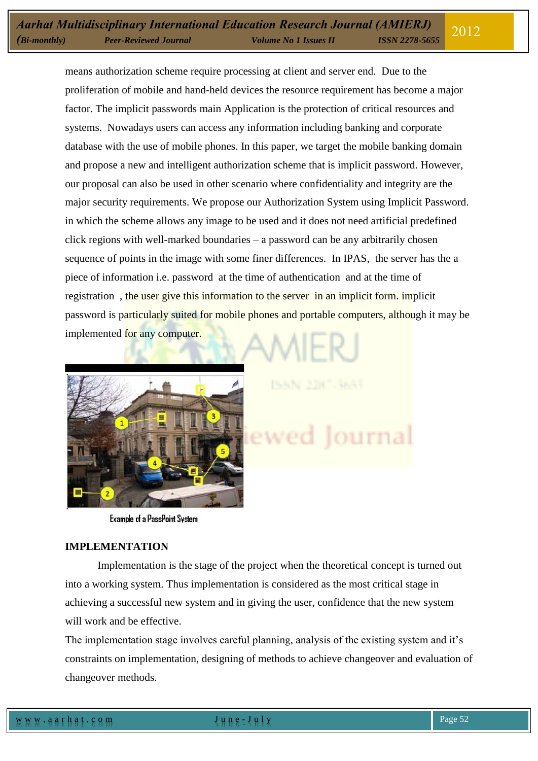means authorization scheme require processing at client and server end. Due to the proliferation of mobile and hand-held devices the resource requirement has become a major factor. The implicit passwords main Application is the protection of critical resources and systems. Nowadays users can access any information including banking and corporate database with the use of mobile phones. In this paper, we target the mobile banking domain and propose a new and intelligent authorization scheme that is implicit password. However, our proposal can also be used in other scenario where confidentiality and integrity are the major security requirements. We propose our Authorization System using Implicit Password. in which the scheme allows any image to be used and it does not need artificial predefined click regions with well-marked boundaries – a password can be any arbitrarily chosen sequence of points in the image with some finer differences. In IPAS, the server has the a piece of information i.e. password at the time of authentication and at the time of registration , the user give this information to the server in an implicit form. implicit password is particularly suited for mobile phones and portable computers, although it may be implemented for any computer.



**Example of a PassPoint System** 

lourna

#### **IMPLEMENTATION**

Implementation is the stage of the project when the theoretical concept is turned out into a working system. Thus implementation is considered as the most critical stage in achieving a successful new system and in giving the user, confidence that the new system will work and be effective.

The implementation stage involves careful planning, analysis of the existing system and it's constraints on implementation, designing of methods to achieve changeover and evaluation of changeover methods.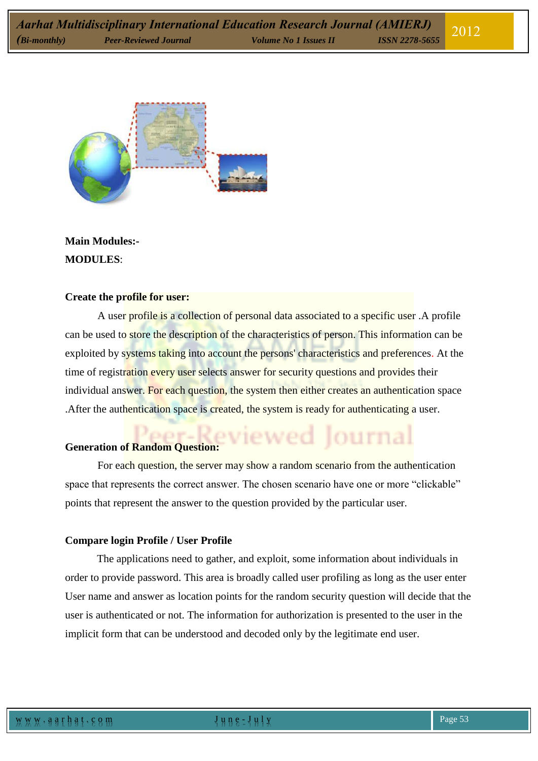

**Main Modules:- MODULES**:

#### **Create the profile for user:**

A user profile is a collection of personal data associated to a specific user .A profile can be used to store the description of the characteristics of person. This information can be exploited by systems taking into account the persons' characteristics and preferences. At the time of registration every user selects answer for security questions and provides their individual answer. For each question, the system then either creates an authentication space . After the authentication space is created, the system is ready for authenticating a user.

# Generation of Random Question:

For each question, the server may show a random scenario from the authentication space that represents the correct answer. The chosen scenario have one or more "clickable" points that represent the answer to the question provided by the particular user.

ournal

#### **Compare login Profile / User Profile**

The applications need to gather, and exploit, some information about individuals in order to provide password. This area is broadly called user profiling as long as the user enter User name and answer as location points for the random security question will decide that the user is authenticated or not. The information for authorization is presented to the user in the implicit form that can be understood and decoded only by the legitimate end user.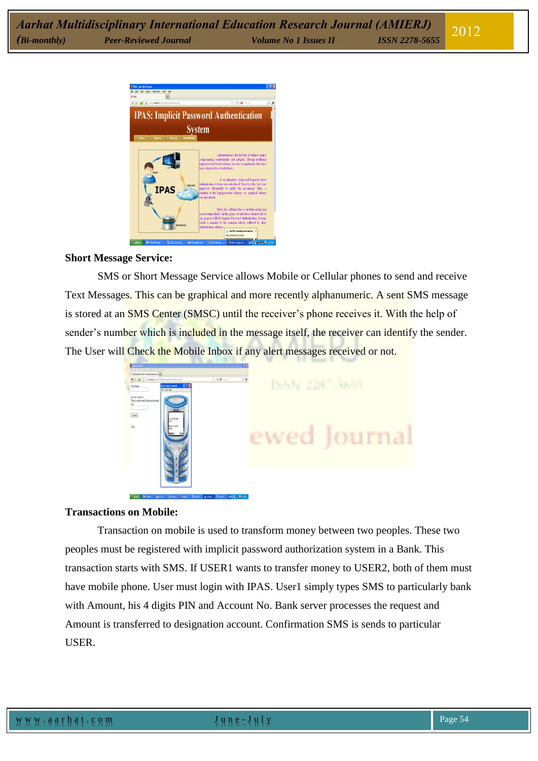

#### **Short Message Service:**

SMS or Short Message Service allows Mobile or Cellular phones to send and receive Text Messages. This can be graphical and more recently alphanumeric. A sent SMS message is stored at an SMS Center (SMSC) until the receiver's phone receives it. With the help of sender's number which is included in the message itself, the receiver can identify the sender. The User will Check the Mobile Inbox if any alert messages received or not.



## **Transactions on Mobile:**

Transaction on mobile is used to transform money between two peoples. These two peoples must be registered with implicit password authorization system in a Bank. This transaction starts with SMS. If USER1 wants to transfer money to USER2, both of them must have mobile phone. User must login with IPAS. User1 simply types SMS to particularly bank with Amount, his 4 digits PIN and Account No. Bank server processes the request and Amount is transferred to designation account. Confirmation SMS is sends to particular USER.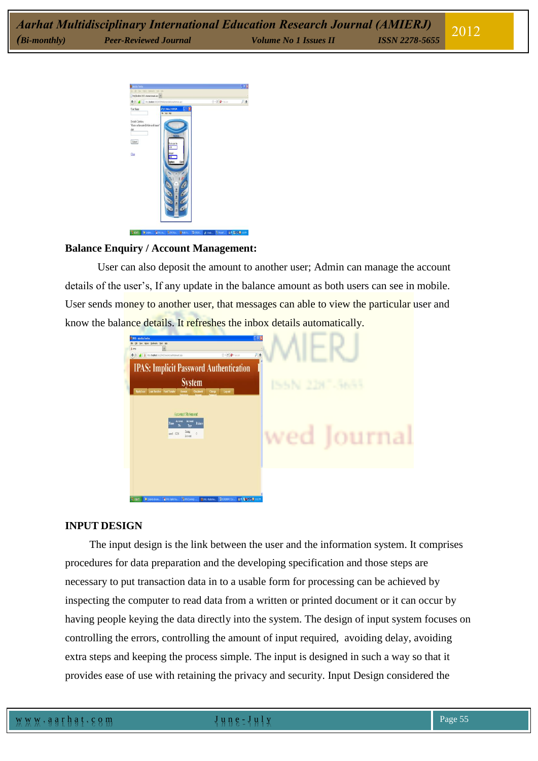

#### **Balance Enquiry / Account Management:**

User can also deposit the amount to another user; Admin can manage the account details of the user's, If any update in the balance amount as both users can see in mobile. User sends money to another user, that messages can able to view the particular user and know the balance details. It refreshes the inbox details automatically.



#### **INPUT DESIGN**

The input design is the link between the user and the information system. It comprises procedures for data preparation and the developing specification and those steps are necessary to put transaction data in to a usable form for processing can be achieved by inspecting the computer to read data from a written or printed document or it can occur by having people keying the data directly into the system. The design of input system focuses on controlling the errors, controlling the amount of input required, avoiding delay, avoiding extra steps and keeping the process simple. The input is designed in such a way so that it provides ease of use with retaining the privacy and security. Input Design considered the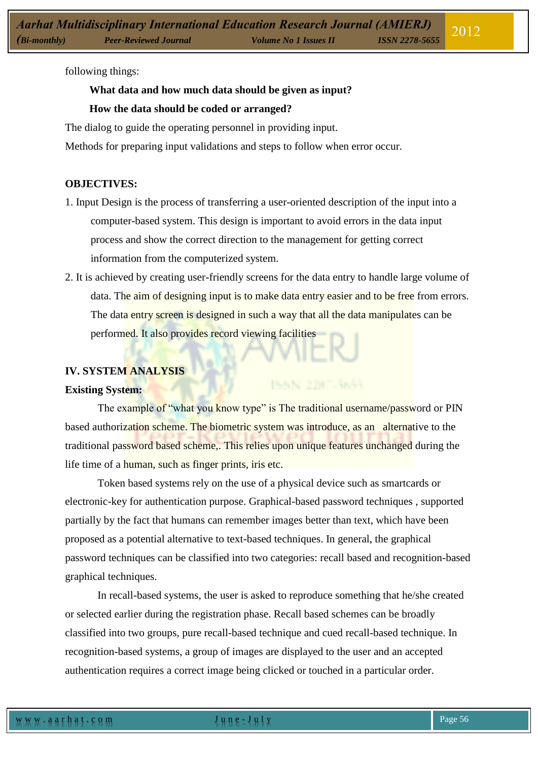following things:

# **What data and how much data should be given as input?**

## **How the data should be coded or arranged?**

The dialog to guide the operating personnel in providing input.

Methods for preparing input validations and steps to follow when error occur.

## **OBJECTIVES:**

- 1. Input Design is the process of transferring a user-oriented description of the input into a computer-based system. This design is important to avoid errors in the data input process and show the correct direction to the management for getting correct information from the computerized system.
- 2. It is achieved by creating user-friendly screens for the data entry to handle large volume of data. The aim of designing input is to make data entry easier and to be free from errors. The data entry screen is designed in such a way that all the data manipulates can be performed. It also provides record viewing facilities

# **IV. SYSTEM ANALYSIS**

## **Existing System:**

The example of "what you know type" is The traditional username/password or PIN based authorization scheme. The biometric system was introduce, as an alternative to the traditional password based scheme,. This relies upon unique features unchanged during the life time of a human, such as finger prints, iris etc.

Token based systems rely on the use of a physical device such as smartcards or electronic-key for authentication purpose. Graphical-based password techniques , supported partially by the fact that humans can remember images better than text, which have been proposed as a potential alternative to text-based techniques. In general, the graphical password techniques can be classified into two categories: recall based and recognition-based graphical techniques.

In recall-based systems, the user is asked to reproduce something that he/she created or selected earlier during the registration phase. Recall based schemes can be broadly classified into two groups, pure recall-based technique and cued recall-based technique. In recognition-based systems, a group of images are displayed to the user and an accepted authentication requires a correct image being clicked or touched in a particular order.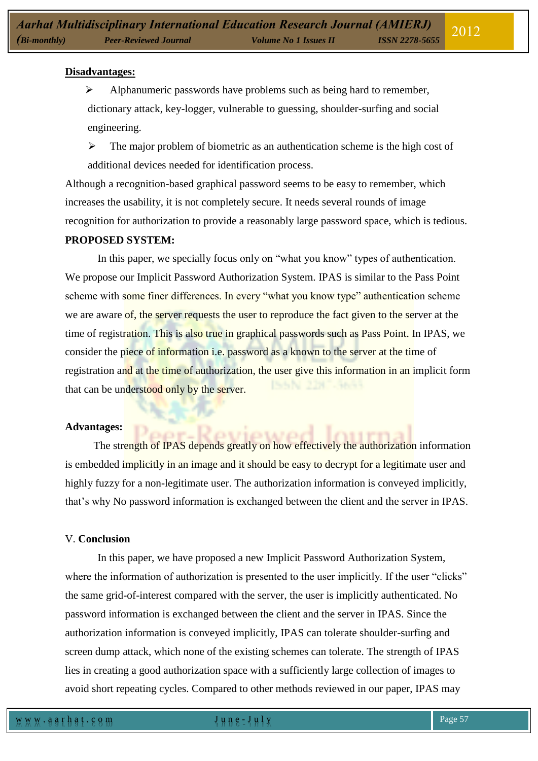#### **Disadvantages:**

 $\triangleright$  Alphanumeric passwords have problems such as being hard to remember, dictionary attack, key-logger, vulnerable to guessing, shoulder-surfing and social engineering.

 $\triangleright$  The major problem of biometric as an authentication scheme is the high cost of additional devices needed for identification process.

Although a recognition-based graphical password seems to be easy to remember, which increases the usability, it is not completely secure. It needs several rounds of image recognition for authorization to provide a reasonably large password space, which is tedious.

## **PROPOSED SYSTEM:**

In this paper, we specially focus only on "what you know" types of authentication. We propose our Implicit Password Authorization System. IPAS is similar to the Pass Point scheme with some finer differences. In every "what you know type" authentication scheme we are aware of, the server requests the user to reproduce the fact given to the server at the time of registration. This is also true in graphical passwords such as Pass Point. In IPAS, we consider the piece of information i.e. password as a known to the server at the time of registration and at the time of authorization, the user give this information in an implicit form that can be understood only by the server.

#### **Advantages:**

The strength of IPAS depends greatly on how effectively the authorization information is embedded implicitly in an image and it should be easy to decrypt for a legitimate user and highly fuzzy for a non-legitimate user. The authorization information is conveyed implicitly, that's why No password information is exchanged between the client and the server in IPAS.

## V. **Conclusion**

In this paper, we have proposed a new Implicit Password Authorization System, where the information of authorization is presented to the user implicitly. If the user "clicks" the same grid-of-interest compared with the server, the user is implicitly authenticated. No password information is exchanged between the client and the server in IPAS. Since the authorization information is conveyed implicitly, IPAS can tolerate shoulder-surfing and screen dump attack, which none of the existing schemes can tolerate. The strength of IPAS lies in creating a good authorization space with a sufficiently large collection of images to avoid short repeating cycles. Compared to other methods reviewed in our paper, IPAS may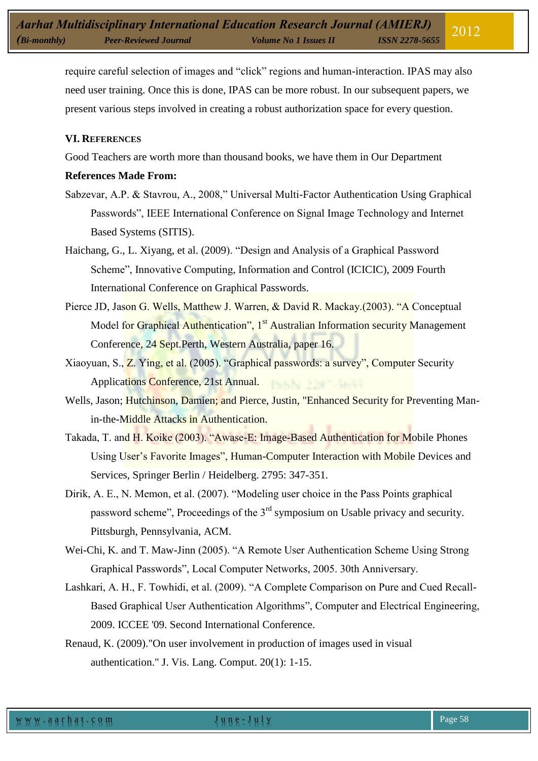require careful selection of images and "click" regions and human-interaction. IPAS may also need user training. Once this is done, IPAS can be more robust. In our subsequent papers, we present various steps involved in creating a robust authorization space for every question.

#### **VI. REFERENCES**

Good Teachers are worth more than thousand books, we have them in Our Department

## **References Made From:**

- Sabzevar, A.P. & Stavrou, A., 2008," Universal Multi-Factor Authentication Using Graphical Passwords", IEEE International Conference on Signal Image Technology and Internet Based Systems (SITIS).
- Haichang, G., L. Xiyang, et al. (2009). "Design and Analysis of a Graphical Password Scheme", Innovative Computing, Information and Control (ICICIC), 2009 Fourth International Conference on Graphical Passwords.
- Pierce JD, Jason G. Wells, Matthew J. Warren, & David R. Mackay.(2003). "A Conceptual Model for Graphical Authentication", 1<sup>st</sup> Australian Information security Management Conference, 24 Sept.Perth, Western Australia, paper 16.
- Xiaoyuan, S., Z. Ying, et al. (2005). "Graphical passwords: a survey", Computer Security Applications Conference, 21st Annual.
- Wells, Jason; Hutchinson, Damien; and Pierce, Justin, "Enhanced Security for Preventing Manin-the-Middle Attacks in Authentication.
- Takada, T. and H. Koike (2003). "Awase-E: Image-Based Authentication for Mobile Phones Using User's Favorite Images", Human-Computer Interaction with Mobile Devices and Services, Springer Berlin / Heidelberg. 2795: 347-351.
- Dirik, A. E., N. Memon, et al. (2007). "Modeling user choice in the Pass Points graphical password scheme", Proceedings of the  $3<sup>rd</sup>$  symposium on Usable privacy and security. Pittsburgh, Pennsylvania, ACM.
- Wei-Chi, K. and T. Maw-Jinn (2005). "A Remote User Authentication Scheme Using Strong Graphical Passwords", Local Computer Networks, 2005. 30th Anniversary.
- Lashkari, A. H., F. Towhidi, et al. (2009). "A Complete Comparison on Pure and Cued Recall-Based Graphical User Authentication Algorithms", Computer and Electrical Engineering, 2009. ICCEE '09. Second International Conference.
- Renaud, K. (2009)."On user involvement in production of images used in visual authentication." J. Vis. Lang. Comput. 20(1): 1-15.